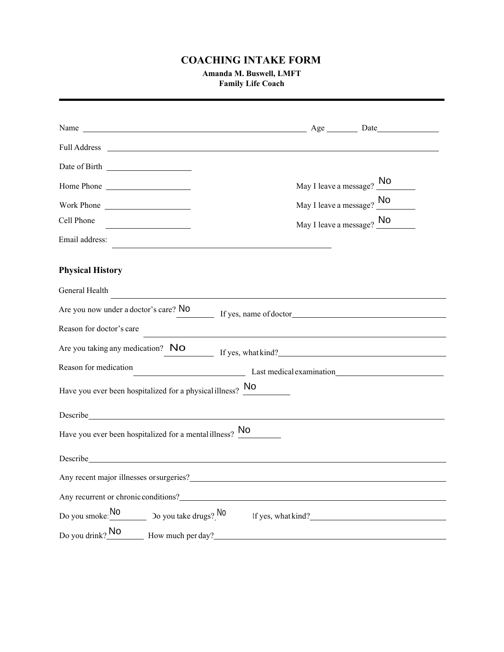## **COACHING INTAKE FORM**

**Amanda M. Buswell, LMFT Family Life Coach**

|                                                                                                                                                                                                                                | May I leave a message? No                                  |  |
|--------------------------------------------------------------------------------------------------------------------------------------------------------------------------------------------------------------------------------|------------------------------------------------------------|--|
| Work Phone                                                                                                                                                                                                                     | May I leave a message? $\underline{\hspace{1em}\text{No}}$ |  |
| Cell Phone                                                                                                                                                                                                                     | May I leave a message? No                                  |  |
| Email address:                                                                                                                                                                                                                 |                                                            |  |
| <b>Physical History</b>                                                                                                                                                                                                        |                                                            |  |
| General Health                                                                                                                                                                                                                 |                                                            |  |
| Are you now under a doctor's care? No                                                                                                                                                                                          | If yes, name of doctor                                     |  |
| Reason for doctor's care                                                                                                                                                                                                       |                                                            |  |
| Are you taking any medication? $\overline{N}$ O<br>If yes, what kind?                                                                                                                                                          |                                                            |  |
| Reason for medication<br>Last medical examination<br><u>Last medical examination</u>                                                                                                                                           |                                                            |  |
| Have you ever been hospitalized for a physical illness? $\frac{No}{\ }$                                                                                                                                                        |                                                            |  |
| Describe experimental contract to the contract of the contract of the contract of the contract of the contract of the contract of the contract of the contract of the contract of the contract of the contract of the contract |                                                            |  |
| Have you ever been hospitalized for a mental illness? No                                                                                                                                                                       |                                                            |  |
| Describe experience and the contract of the contract of the contract of the contract of the contract of the contract of the contract of the contract of the contract of the contract of the contract of the contract of the co |                                                            |  |
| Any recent major illnesses or surgeries?                                                                                                                                                                                       |                                                            |  |
| Any recurrent or chronic conditions?                                                                                                                                                                                           |                                                            |  |
| Do you smoke: $\frac{No}{No}$ Do you take drugs? No                                                                                                                                                                            | If yes, what kind?                                         |  |
| Do you drink? No<br>How much per day?                                                                                                                                                                                          |                                                            |  |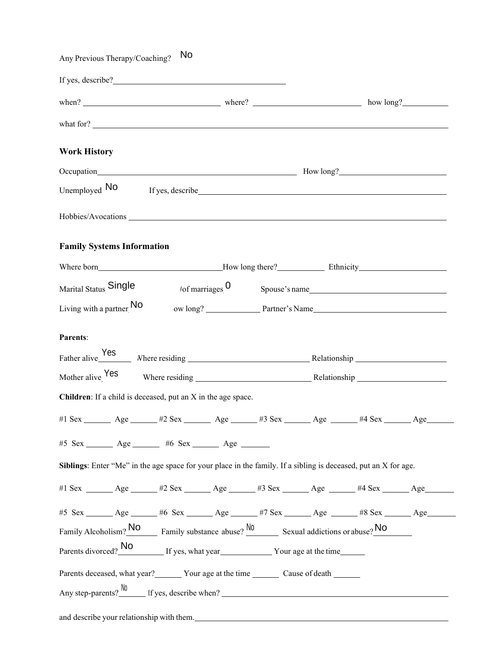| Any Previous Therapy/Coaching?                                                                                                    | No                                                                                                                                                                                                                             |                               |  |                         |  |
|-----------------------------------------------------------------------------------------------------------------------------------|--------------------------------------------------------------------------------------------------------------------------------------------------------------------------------------------------------------------------------|-------------------------------|--|-------------------------|--|
|                                                                                                                                   |                                                                                                                                                                                                                                |                               |  |                         |  |
|                                                                                                                                   |                                                                                                                                                                                                                                |                               |  |                         |  |
|                                                                                                                                   |                                                                                                                                                                                                                                |                               |  |                         |  |
| <b>Work History</b>                                                                                                               |                                                                                                                                                                                                                                |                               |  |                         |  |
| Occupation How long?                                                                                                              |                                                                                                                                                                                                                                |                               |  |                         |  |
| Unemployed No                                                                                                                     | If yes, describe the same state of the state of the state of the state of the state of the state of the state of the state of the state of the state of the state of the state of the state of the state of the state of the s |                               |  |                         |  |
|                                                                                                                                   |                                                                                                                                                                                                                                |                               |  |                         |  |
| <b>Family Systems Information</b>                                                                                                 |                                                                                                                                                                                                                                |                               |  |                         |  |
|                                                                                                                                   |                                                                                                                                                                                                                                |                               |  |                         |  |
| Marital Status Single                                                                                                             |                                                                                                                                                                                                                                | $t$ of marriages $\mathbf{0}$ |  | Spouse's name           |  |
| Living with a partner No                                                                                                          |                                                                                                                                                                                                                                |                               |  | ow long? Partner's Name |  |
|                                                                                                                                   |                                                                                                                                                                                                                                |                               |  |                         |  |
| Parents:                                                                                                                          |                                                                                                                                                                                                                                |                               |  |                         |  |
|                                                                                                                                   |                                                                                                                                                                                                                                |                               |  |                         |  |
| Mother alive Yes                                                                                                                  |                                                                                                                                                                                                                                |                               |  |                         |  |
| Children: If a child is deceased, put an X in the age space.                                                                      |                                                                                                                                                                                                                                |                               |  |                         |  |
| #1 Sex _______ Age ______ #2 Sex _______ Age ______ #3 Sex ______ Age ______ #4 Sex ______ Age ______                             |                                                                                                                                                                                                                                |                               |  |                         |  |
| #5 Sex ________ Age _______ #6 Sex ______ Age _______                                                                             |                                                                                                                                                                                                                                |                               |  |                         |  |
| Siblings: Enter "Me" in the age space for your place in the family. If a sibling is deceased, put an X for age.                   |                                                                                                                                                                                                                                |                               |  |                         |  |
| #1 Sex ________ Age _______ #2 Sex _______ Age ______ #3 Sex _______ Age _______ #4 Sex _______ Age _______                       |                                                                                                                                                                                                                                |                               |  |                         |  |
|                                                                                                                                   |                                                                                                                                                                                                                                |                               |  |                         |  |
| #5 Sex _______ Age _______ #6 Sex _______ Age ______ #7 Sex ______ Age _______ #8 Sex ______ Age _______                          |                                                                                                                                                                                                                                |                               |  |                         |  |
| Family Alcoholism? $\frac{\text{No}}{\text{Family substance}}$ 2.00 Sexual addictions or abuse? $\frac{\text{No}}{\text{Output}}$ |                                                                                                                                                                                                                                |                               |  |                         |  |
| Parents divorced? No If yes, what year Your age at the time                                                                       |                                                                                                                                                                                                                                |                               |  |                         |  |
| Parents deceased, what year? ________ Your age at the time _________ Cause of death _______                                       |                                                                                                                                                                                                                                |                               |  |                         |  |
| Any step-parents? $\frac{N0}{N}$ If yes, describe when?                                                                           |                                                                                                                                                                                                                                |                               |  |                         |  |
| and describe your relationship with them.                                                                                         |                                                                                                                                                                                                                                |                               |  |                         |  |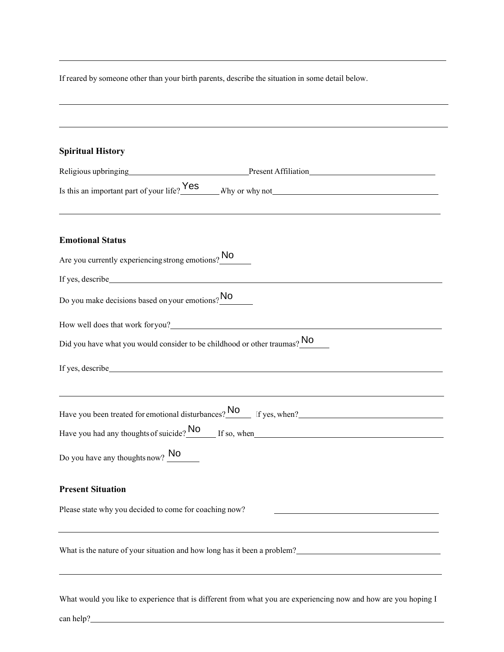If reared by someone other than your birth parents, describe the situation in some detail below.

| <b>Spiritual History</b>                                                                                                                                                                                                             |
|--------------------------------------------------------------------------------------------------------------------------------------------------------------------------------------------------------------------------------------|
|                                                                                                                                                                                                                                      |
| Is this an important part of your life? $Yes$ Why or why not                                                                                                                                                                         |
| <b>Emotional Status</b>                                                                                                                                                                                                              |
| Are you currently experiencing strong emotions? No                                                                                                                                                                                   |
|                                                                                                                                                                                                                                      |
| Do you make decisions based on your emotions? No                                                                                                                                                                                     |
| How well does that work for you?<br><u>Letting</u> the contract of the set of the set of the set of the set of the set of the set of the set of the set of the set of the set of the set of the set of the set of the set of the set |
| Did you have what you would consider to be childhood or other traumas? No                                                                                                                                                            |
| If yes, describe some services and the services of the services of the services of the services of the services of the services of the services of the services of the services of the services of the services of the service       |
|                                                                                                                                                                                                                                      |
| Have you been treated for emotional disturbances? No If yes, when?                                                                                                                                                                   |
| Have you had any thoughts of suicide? $\frac{No}{No}$ If so, when                                                                                                                                                                    |
| Do you have any thoughts now? $\frac{No}{No}$                                                                                                                                                                                        |
| <b>Present Situation</b>                                                                                                                                                                                                             |
| Please state why you decided to come for coaching now?                                                                                                                                                                               |
| What is the nature of your situation and how long has it been a problem?<br><u>University of the nature of your situation</u> and how long has it been a problem?                                                                    |
| What would you like to experience that is different from what you are experiencing now and how are you hoping I<br>can help?                                                                                                         |